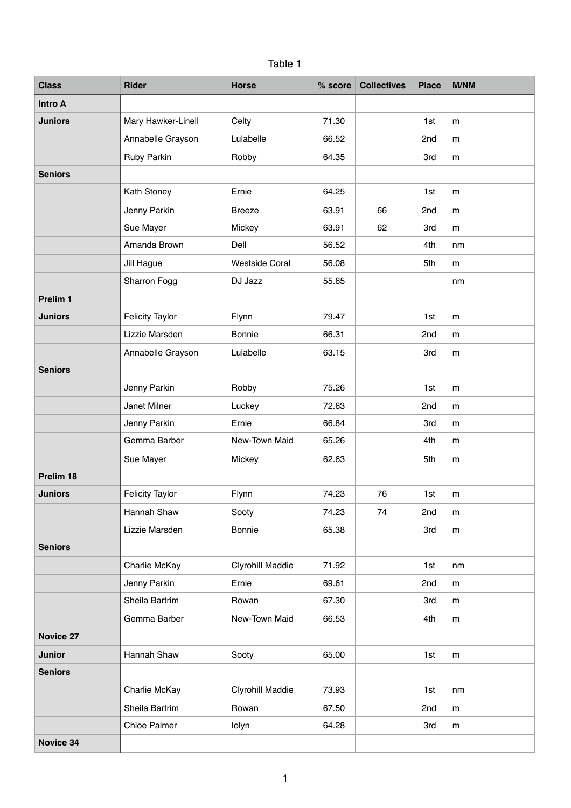| Table |  |
|-------|--|
|-------|--|

| <b>Class</b>     | <b>Rider</b>           | <b>Horse</b>          | $%$ score | <b>Collectives</b> | <b>Place</b> | <b>M/NM</b> |
|------------------|------------------------|-----------------------|-----------|--------------------|--------------|-------------|
| <b>Intro A</b>   |                        |                       |           |                    |              |             |
| <b>Juniors</b>   | Mary Hawker-Linell     | Celty                 | 71.30     |                    | 1st          | m           |
|                  | Annabelle Grayson      | Lulabelle             | 66.52     |                    | 2nd          | m           |
|                  | Ruby Parkin            | Robby                 | 64.35     |                    | 3rd          | m           |
| <b>Seniors</b>   |                        |                       |           |                    |              |             |
|                  | Kath Stoney            | Ernie                 | 64.25     |                    | 1st          | m           |
|                  | Jenny Parkin           | <b>Breeze</b>         | 63.91     | 66                 | 2nd          | m           |
|                  | Sue Mayer              | Mickey                | 63.91     | 62                 | 3rd          | m           |
|                  | Amanda Brown           | Dell                  | 56.52     |                    | 4th          | nm          |
|                  | Jill Hague             | <b>Westside Coral</b> | 56.08     |                    | 5th          | m           |
|                  | Sharron Fogg           | DJ Jazz               | 55.65     |                    |              | nm          |
| Prelim 1         |                        |                       |           |                    |              |             |
| <b>Juniors</b>   | <b>Felicity Taylor</b> | Flynn                 | 79.47     |                    | 1st          | m           |
|                  | Lizzie Marsden         | Bonnie                | 66.31     |                    | 2nd          | m           |
|                  | Annabelle Grayson      | Lulabelle             | 63.15     |                    | 3rd          | m           |
| <b>Seniors</b>   |                        |                       |           |                    |              |             |
|                  | Jenny Parkin           | Robby                 | 75.26     |                    | 1st          | m           |
|                  | Janet Milner           | Luckey                | 72.63     |                    | 2nd          | m           |
|                  | Jenny Parkin           | Ernie                 | 66.84     |                    | 3rd          | m           |
|                  | Gemma Barber           | New-Town Maid         | 65.26     |                    | 4th          | m           |
|                  | Sue Mayer              | Mickey                | 62.63     |                    | 5th          | m           |
| Prelim 18        |                        |                       |           |                    |              |             |
| <b>Juniors</b>   | <b>Felicity Taylor</b> | Flynn                 | 74.23     | 76                 | 1st          | m           |
|                  | Hannah Shaw            | Sooty                 | 74.23     | 74                 | 2nd          | m           |
|                  | Lizzie Marsden         | Bonnie                | 65.38     |                    | 3rd          | m           |
| <b>Seniors</b>   |                        |                       |           |                    |              |             |
|                  | Charlie McKay          | Clyrohill Maddie      | 71.92     |                    | 1st          | nm          |
|                  | Jenny Parkin           | Ernie                 | 69.61     |                    | 2nd          | m           |
|                  | Sheila Bartrim         | Rowan                 | 67.30     |                    | 3rd          | m           |
|                  | Gemma Barber           | New-Town Maid         | 66.53     |                    | 4th          | m           |
| <b>Novice 27</b> |                        |                       |           |                    |              |             |
| <b>Junior</b>    | Hannah Shaw            | Sooty                 | 65.00     |                    | 1st          | m           |
| <b>Seniors</b>   |                        |                       |           |                    |              |             |
|                  | Charlie McKay          | Clyrohill Maddie      | 73.93     |                    | 1st          | nm          |
|                  | Sheila Bartrim         | Rowan                 | 67.50     |                    | 2nd          | m           |
|                  | <b>Chloe Palmer</b>    | lolyn                 | 64.28     |                    | 3rd          | m           |
| <b>Novice 34</b> |                        |                       |           |                    |              |             |